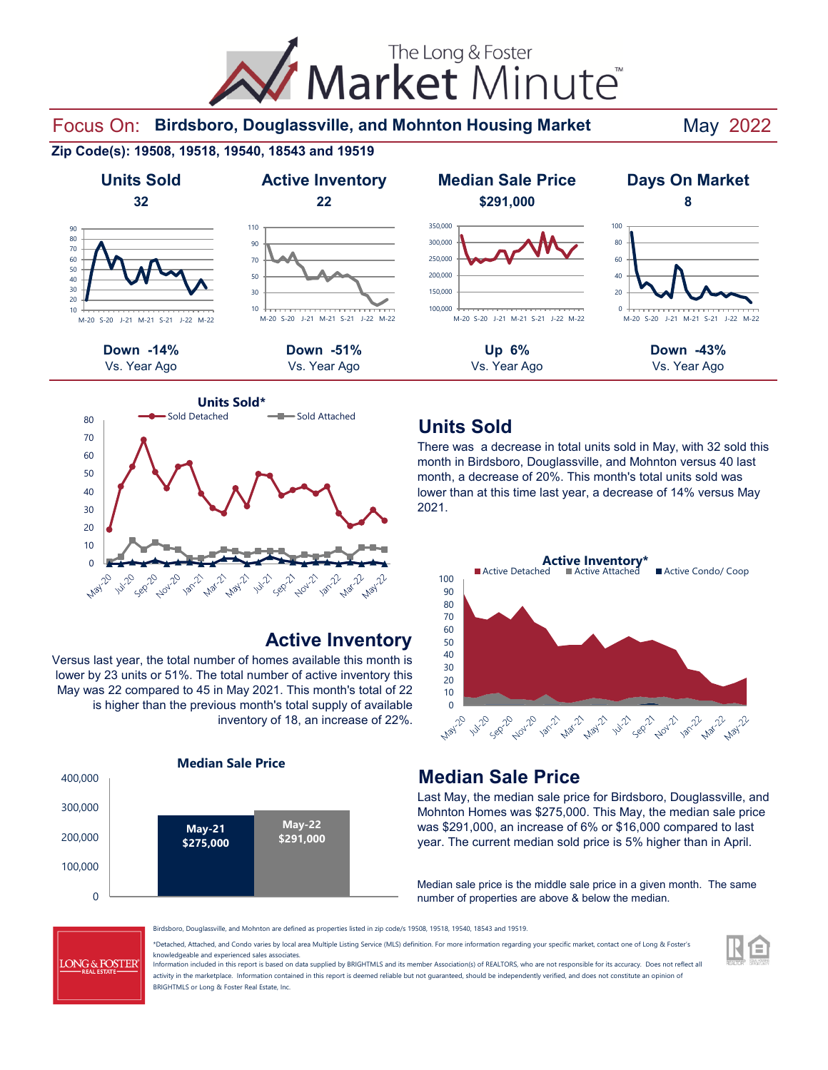Market Minute

Focus On: Birdsboro, Douglassville, and Mohnton Housing Market May 2022

#### **Zip Code(s): 19508, 19518, 19540, 18543 and 19519**





90 110



#### **Active Inventory**

Versus last year, the total number of homes available this month is lower by 23 units or 51%. The total number of active inventory this May was 22 compared to 45 in May 2021. This month's total of 22 is higher than the previous month's total supply of available inventory of 18, an increase of 22%.





#### **Units Sold**

There was a decrease in total units sold in May, with 32 sold this month in Birdsboro, Douglassville, and Mohnton versus 40 last month, a decrease of 20%. This month's total units sold was lower than at this time last year, a decrease of 14% versus May 2021.



# **Median Sale Price**

Last May, the median sale price for Birdsboro, Douglassville, and Mohnton Homes was \$275,000. This May, the median sale price was \$291,000, an increase of 6% or \$16,000 compared to last year. The current median sold price is 5% higher than in April.

Median sale price is the middle sale price in a given month. The same number of properties are above & below the median.



Birdsboro, Douglassville, and Mohnton are defined as properties listed in zip code/s 19508, 19518, 19540, 18543 and 19519.

\*Detached, Attached, and Condo varies by local area Multiple Listing Service (MLS) definition. For more information regarding your specific market, contact one of Long & Foster's knowledgeable and experienced sales associates.

Information included in this report is based on data supplied by BRIGHTMLS and its member Association(s) of REALTORS, who are not responsible for its accuracy. Does not reflect all activity in the marketplace. Information contained in this report is deemed reliable but not guaranteed, should be independently verified, and does not constitute an opinion of BRIGHTMLS or Long & Foster Real Estate, Inc.